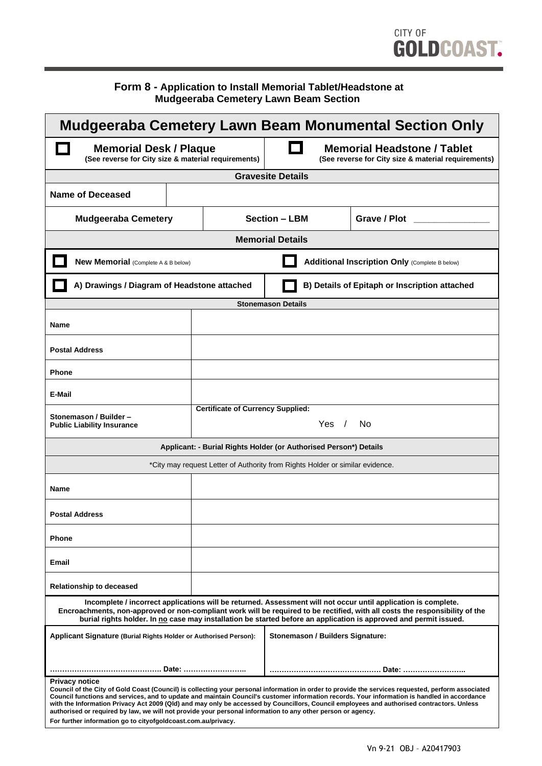# CITY OF GOLDCOAST.

#### **Form 8 - Application to Install Memorial Tablet/Headstone at Mudgeeraba Cemetery Lawn Beam Section**

| Mudgeeraba Cemetery Lawn Beam Monumental Section Only                                                                                                                                                                                                                                                                                                                                                                                                                                                                                                                                                                                                    |                                                          |                                                                                           |                                               |
|----------------------------------------------------------------------------------------------------------------------------------------------------------------------------------------------------------------------------------------------------------------------------------------------------------------------------------------------------------------------------------------------------------------------------------------------------------------------------------------------------------------------------------------------------------------------------------------------------------------------------------------------------------|----------------------------------------------------------|-------------------------------------------------------------------------------------------|-----------------------------------------------|
| <b>Memorial Desk / Plaque</b><br>(See reverse for City size & material requirements)                                                                                                                                                                                                                                                                                                                                                                                                                                                                                                                                                                     |                                                          | <b>Memorial Headstone / Tablet</b><br>(See reverse for City size & material requirements) |                                               |
| <b>Gravesite Details</b>                                                                                                                                                                                                                                                                                                                                                                                                                                                                                                                                                                                                                                 |                                                          |                                                                                           |                                               |
| Name of Deceased                                                                                                                                                                                                                                                                                                                                                                                                                                                                                                                                                                                                                                         |                                                          |                                                                                           |                                               |
| <b>Mudgeeraba Cemetery</b>                                                                                                                                                                                                                                                                                                                                                                                                                                                                                                                                                                                                                               |                                                          | <b>Section - LBM</b>                                                                      | Grave / Plot                                  |
| <b>Memorial Details</b>                                                                                                                                                                                                                                                                                                                                                                                                                                                                                                                                                                                                                                  |                                                          |                                                                                           |                                               |
| <b>New Memorial</b> (Complete A & B below)                                                                                                                                                                                                                                                                                                                                                                                                                                                                                                                                                                                                               |                                                          | <b>Additional Inscription Only (Complete B below)</b>                                     |                                               |
| A) Drawings / Diagram of Headstone attached                                                                                                                                                                                                                                                                                                                                                                                                                                                                                                                                                                                                              |                                                          |                                                                                           | B) Details of Epitaph or Inscription attached |
| <b>Stonemason Details</b>                                                                                                                                                                                                                                                                                                                                                                                                                                                                                                                                                                                                                                |                                                          |                                                                                           |                                               |
| <b>Name</b>                                                                                                                                                                                                                                                                                                                                                                                                                                                                                                                                                                                                                                              |                                                          |                                                                                           |                                               |
| <b>Postal Address</b>                                                                                                                                                                                                                                                                                                                                                                                                                                                                                                                                                                                                                                    |                                                          |                                                                                           |                                               |
| <b>Phone</b>                                                                                                                                                                                                                                                                                                                                                                                                                                                                                                                                                                                                                                             |                                                          |                                                                                           |                                               |
| E-Mail                                                                                                                                                                                                                                                                                                                                                                                                                                                                                                                                                                                                                                                   |                                                          |                                                                                           |                                               |
| Stonemason / Builder -<br><b>Public Liability Insurance</b>                                                                                                                                                                                                                                                                                                                                                                                                                                                                                                                                                                                              | <b>Certificate of Currency Supplied:</b><br>Yes /<br>No. |                                                                                           |                                               |
| Applicant: - Burial Rights Holder (or Authorised Person*) Details                                                                                                                                                                                                                                                                                                                                                                                                                                                                                                                                                                                        |                                                          |                                                                                           |                                               |
| *City may request Letter of Authority from Rights Holder or similar evidence.                                                                                                                                                                                                                                                                                                                                                                                                                                                                                                                                                                            |                                                          |                                                                                           |                                               |
| Name                                                                                                                                                                                                                                                                                                                                                                                                                                                                                                                                                                                                                                                     |                                                          |                                                                                           |                                               |
| <b>Postal Address</b>                                                                                                                                                                                                                                                                                                                                                                                                                                                                                                                                                                                                                                    |                                                          |                                                                                           |                                               |
| <b>Phone</b>                                                                                                                                                                                                                                                                                                                                                                                                                                                                                                                                                                                                                                             |                                                          |                                                                                           |                                               |
| Email                                                                                                                                                                                                                                                                                                                                                                                                                                                                                                                                                                                                                                                    |                                                          |                                                                                           |                                               |
| <b>Relationship to deceased</b>                                                                                                                                                                                                                                                                                                                                                                                                                                                                                                                                                                                                                          |                                                          |                                                                                           |                                               |
| Incomplete / incorrect applications will be returned. Assessment will not occur until application is complete.<br>Encroachments, non-approved or non-compliant work will be required to be rectified, with all costs the responsibility of the<br>burial rights holder. In no case may installation be started before an application is approved and permit issued.                                                                                                                                                                                                                                                                                      |                                                          |                                                                                           |                                               |
| Applicant Signature (Burial Rights Holder or Authorised Person):                                                                                                                                                                                                                                                                                                                                                                                                                                                                                                                                                                                         |                                                          |                                                                                           | Stonemason / Builders Signature:              |
|                                                                                                                                                                                                                                                                                                                                                                                                                                                                                                                                                                                                                                                          |                                                          |                                                                                           |                                               |
| <b>Privacy notice</b><br>Council of the City of Gold Coast (Council) is collecting your personal information in order to provide the services requested, perform associated<br>Council functions and services, and to update and maintain Council's customer information records. Your information is handled in accordance<br>with the Information Privacy Act 2009 (QId) and may only be accessed by Councillors, Council employees and authorised contractors. Unless<br>authorised or required by law, we will not provide your personal information to any other person or agency.<br>For further information go to cityofgoldcoast.com.au/privacy. |                                                          |                                                                                           |                                               |